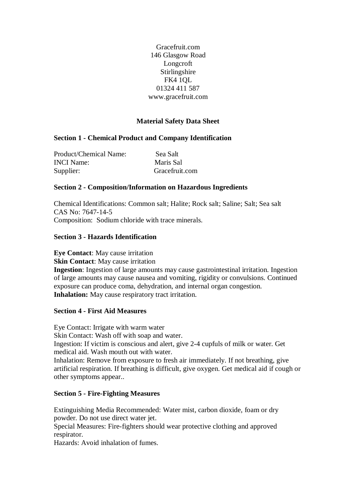Gracefruit.com 146 Glasgow Road Longcroft Stirlingshire FK4 1QL 01324 411 587 www.gracefruit.com

# **Material Safety Data Sheet**

## **Section 1 - Chemical Product and Company Identification**

| Product/Chemical Name: | Sea Salt       |
|------------------------|----------------|
| <b>INCI</b> Name:      | Maris Sal      |
| Supplier:              | Gracefruit.com |

### **Section 2 - Composition/Information on Hazardous Ingredients**

Chemical Identifications: Common salt; Halite; Rock salt; Saline; Salt; Sea salt CAS No: 7647-14-5 Composition: Sodium chloride with trace minerals.

## **Section 3 - Hazards Identification**

**Eye Contact**: May cause irritation **Skin Contact:** May cause irritation **Ingestion**: Ingestion of large amounts may cause gastrointestinal irritation. Ingestion of large amounts may cause nausea and vomiting, rigidity or convulsions. Continued exposure can produce coma, dehydration, and internal organ congestion. **Inhalation:** May cause respiratory tract irritation.

### **Section 4 - First Aid Measures**

Eye Contact: Irrigate with warm water Skin Contact: Wash off with soap and water. Ingestion: If victim is conscious and alert, give 2-4 cupfuls of milk or water. Get medical aid. Wash mouth out with water. Inhalation: Remove from exposure to fresh air immediately. If not breathing, give artificial respiration. If breathing is difficult, give oxygen. Get medical aid if cough or other symptoms appear..

### **Section 5 - Fire-Fighting Measures**

Extinguishing Media Recommended: Water mist, carbon dioxide, foam or dry powder. Do not use direct water jet.

Special Measures: Fire-fighters should wear protective clothing and approved respirator.

Hazards: Avoid inhalation of fumes.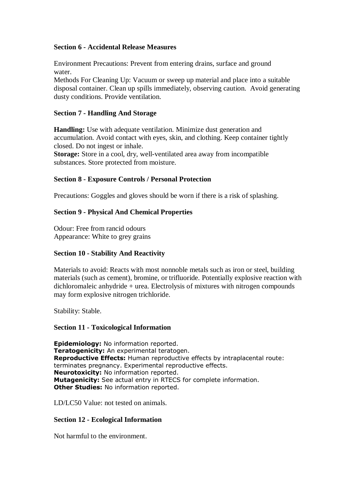### **Section 6 - Accidental Release Measures**

Environment Precautions: Prevent from entering drains, surface and ground water. Methods For Cleaning Up: Vacuum or sweep up material and place into a suitable

disposal container. Clean up spills immediately, observing caution. Avoid generating dusty conditions. Provide ventilation.

## **Section 7 - Handling And Storage**

**Handling:** Use with adequate ventilation. Minimize dust generation and accumulation. Avoid contact with eyes, skin, and clothing. Keep container tightly closed. Do not ingest or inhale.

**Storage:** Store in a cool, dry, well-ventilated area away from incompatible substances. Store protected from moisture.

## **Section 8 - Exposure Controls / Personal Protection**

Precautions: Goggles and gloves should be worn if there is a risk of splashing.

# **Section 9 - Physical And Chemical Properties**

Odour: Free from rancid odours Appearance: White to grey grains

### **Section 10 - Stability And Reactivity**

Materials to avoid: Reacts with most nonnoble metals such as iron or steel, building materials (such as cement), bromine, or trifluoride. Potentially explosive reaction with dichloromaleic anhydride + urea. Electrolysis of mixtures with nitrogen compounds may form explosive nitrogen trichloride.

Stability: Stable.

### **Section 11 - Toxicological Information**

Epidemiology: No information reported. Teratogenicity: An experimental teratogen. Reproductive Effects: Human reproductive effects by intraplacental route: terminates pregnancy. Experimental reproductive effects. Neurotoxicity: No information reported. Mutagenicity: See actual entry in RTECS for complete information. **Other Studies: No information reported.** 

LD/LC50 Value: not tested on animals.

### **Section 12 - Ecological Information**

Not harmful to the environment.